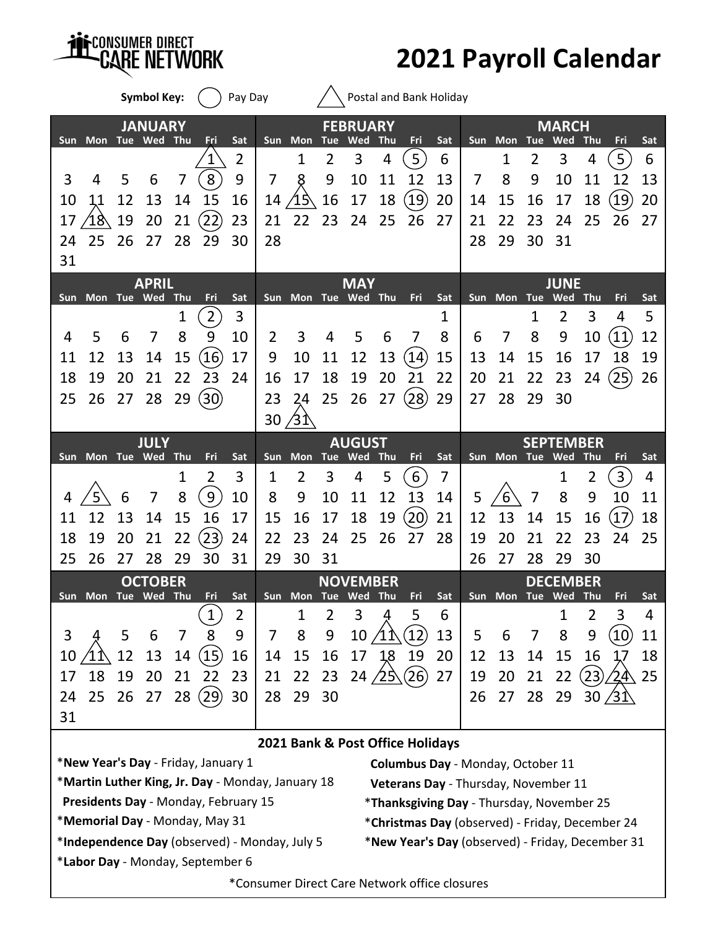

**2021 Payroll Calendar**

|                                                                                           |                                        |            | <b>Symbol Key:</b>    |                 |                                     | Pay Day                                          |            |                     |     |                        |                                                                                   | Postal and Bank Holiday                       |          |    |                 |                 |                               |            |                   |          |
|-------------------------------------------------------------------------------------------|----------------------------------------|------------|-----------------------|-----------------|-------------------------------------|--------------------------------------------------|------------|---------------------|-----|------------------------|-----------------------------------------------------------------------------------|-----------------------------------------------|----------|----|-----------------|-----------------|-------------------------------|------------|-------------------|----------|
|                                                                                           |                                        |            | <b>JANUARY</b>        |                 |                                     |                                                  |            |                     |     | <b>FEBRUARY</b>        |                                                                                   |                                               |          |    |                 |                 | <b>MARCH</b>                  |            |                   |          |
| Sun.                                                                                      | Mon Tue Wed                            |            |                       | Thu             | Fri                                 | Sat                                              |            | Sun Mon Tue         |     | Wed                    | Thu                                                                               | Fri                                           | Sat      |    | Sun Mon         | <b>Tue</b>      | Wed                           | <b>Thu</b> | Fri               | Sat      |
|                                                                                           |                                        |            |                       |                 |                                     | 2                                                |            | 1                   | 2   | 3                      | 4                                                                                 | 5                                             | 6        |    | 1               | 2               | 3                             | 4          | 5                 | 6        |
| 3                                                                                         | 4                                      | 5          | 6                     | 7               | 8                                   | 9                                                | 7          | 8                   | 9   | 10                     | 11                                                                                | 12                                            | 13       | 7  | 8               | 9               | 10                            | 11         | 12                | 13       |
| 10                                                                                        | 11                                     | 12         | 13                    | 14              | 15                                  | 16                                               | 14         | 15                  | 16  | 17                     | 18                                                                                | (19)                                          | 20       | 14 | 15              | 16              | 17                            | 18         | $\left[19\right]$ | 20       |
| 17                                                                                        | $^{\prime\prime}$ 18 $^{\prime\prime}$ | 19         | 20                    | 21              | (22)                                | 23                                               | 21         | 22                  | 23  | 24                     | 25                                                                                | 26                                            | 27       | 21 | 22              | 23              | 24                            | 25         | 26                | 27       |
| 24                                                                                        | 25                                     | 26         | 27                    | 28              | 29                                  | 30                                               | 28         |                     |     |                        |                                                                                   |                                               |          | 28 | 29              | 30              | 31                            |            |                   |          |
| 31                                                                                        |                                        |            |                       |                 |                                     |                                                  |            |                     |     |                        |                                                                                   |                                               |          |    |                 |                 |                               |            |                   |          |
|                                                                                           |                                        |            | <b>APRIL</b>          |                 |                                     |                                                  |            |                     |     | <b>MAY</b>             |                                                                                   |                                               |          |    |                 |                 | <b>JUNE</b>                   |            |                   |          |
|                                                                                           | Sun Mon Tue Wed                        |            |                       | <b>Thu</b><br>1 | Fri<br>$\overline{2}$               | Sat<br>3                                         |            | Sun Mon Tue Wed Thu |     |                        |                                                                                   | Fri                                           | Sat<br>1 |    | Sun Mon         | <b>Tue</b><br>1 | Wed<br>$\overline{2}$         | Thu<br>3   | Fri<br>4          | Sat<br>5 |
| 4                                                                                         | 5                                      |            | 7                     | 8               | 9                                   | 10                                               | 2          | 3                   | 4   | 5                      | 6                                                                                 | 7                                             | 8        | 6  | 7               | 8               | 9                             | 10         | 11                | 12       |
|                                                                                           |                                        | 6          |                       |                 |                                     |                                                  |            |                     |     |                        |                                                                                   |                                               |          |    |                 |                 |                               |            |                   |          |
| 11                                                                                        | 12                                     | 13         | 14                    | 15              | (16)                                | 17                                               | 9          | 10                  | 11  | 12                     | 13                                                                                | (14)                                          | 15       | 13 | 14              | 15              | 16                            | 17         | 18                | 19       |
| 18                                                                                        | 19                                     | 20         | 21                    | 22              | 23                                  | 24                                               | 16         | 17                  | 18  | 19                     | 20                                                                                | 21                                            | 22       | 20 | 21              | 22              | 23                            | 24         | $\left(25\right)$ | 26       |
| 25                                                                                        | 26                                     | 27         | 28                    | 29              | $\left( 30\right)$                  |                                                  | 23         | 24                  | 25  | 26                     | 27                                                                                | $\langle 28 \rangle$                          | 29       | 27 | 28              | 29              | 30                            |            |                   |          |
|                                                                                           |                                        |            |                       |                 |                                     |                                                  | 30         | ⁄3↑                 |     |                        |                                                                                   |                                               |          |    |                 |                 |                               |            |                   |          |
| <b>Sun</b>                                                                                | Mon Tue Wed                            |            | <b>JULY</b>           | <b>Thu</b>      | Fri                                 | Sat                                              | <b>Sun</b> | Mon                 | Tue | <b>AUGUST</b><br>Wed   | Thu                                                                               | Fri                                           | Sat      |    | Sun Mon Tue Wed |                 | <b>SEPTEMBER</b>              | Thu        | Fri               | Sat      |
|                                                                                           |                                        |            |                       | 1               | $\overline{2}$                      | 3                                                | 1          | $\overline{2}$      | 3   | 4                      | 5                                                                                 | $6\,$                                         | 7        |    |                 |                 | 1                             | 2          | $\overline{3}$    | 4        |
|                                                                                           |                                        | 6          |                       | 8               | $\overline{9}$                      | 10                                               | 8          | 9                   | 10  | 11                     | 12                                                                                | 13                                            | 14       | 5  | 6               | 7               | 8                             | 9          | 10                | 11       |
| 11                                                                                        | 12                                     | 13         | 14                    | 15              | 16                                  | 17                                               | 15         | 16                  | 17  | 18                     | 19                                                                                | $\left( 20\right)$                            | 21       | 12 | 13              | 14              | 15                            | 16         | 17                | 18       |
| 18                                                                                        | 19                                     | 20         | 21                    | 22              | (23)                                | 24                                               | 22         | 23                  | 24  | 25                     | 26                                                                                | 27                                            | 28       | 19 | 20              | 21              | 22                            | 23         | 24                | 25       |
| 25                                                                                        | 26                                     | 27         | 28                    | 29              | 30                                  | 31                                               | 29         | 30                  | 31  |                        |                                                                                   |                                               |          | 26 | 27              | 28              | 29                            | 30         |                   |          |
|                                                                                           |                                        |            |                       |                 |                                     |                                                  |            |                     |     |                        |                                                                                   |                                               |          |    |                 |                 |                               |            |                   |          |
| Sun                                                                                       | <b>Mon</b>                             | <b>Tue</b> | <b>OCTOBER</b><br>Wed | <b>Thu</b>      | Fri                                 | Sat                                              |            | Sun Mon Tue         |     | <b>NOVEMBER</b><br>Wed | Thu                                                                               | Fri                                           | Sat      |    | Sun Mon         | Tue             | <b>DECEMBER</b><br><b>Wed</b> | <b>Thu</b> | Fri               | Sat      |
|                                                                                           |                                        |            |                       |                 | $\mathbf{1}$                        | $\overline{2}$                                   |            | 1                   | 2   | 3                      | 4                                                                                 | 5                                             | 6        |    |                 |                 | 1                             | 2          | 3                 | 4        |
| 3                                                                                         |                                        | 5          | 6                     | 7               | 8                                   | 9                                                | 7          | 8                   | 9   | 10                     |                                                                                   | $\left(12\right)$                             | 13       | 5  | 6               | 7               | 8                             | 9          | 10                | 11       |
| 10                                                                                        |                                        | 12         | 13                    | 14              | (15)                                | 16                                               | 14         | 15                  | 16  | 17                     | 18                                                                                | 19                                            | 20       | 12 | 13              | 14              | 15                            | 16         |                   | 18       |
| 17                                                                                        | 18                                     | 19         | 20                    | 21              | 22                                  | 23                                               | 21         | 22                  | 23  |                        | 24/25                                                                             | (26)                                          | 27       | 19 | 20              | 21              | 22                            | (23)       |                   | 25       |
| 24                                                                                        | 25                                     | 26         | 27                    | 28              | (29)                                | 30                                               | 28         | 29                  | 30  |                        |                                                                                   |                                               |          | 26 | 27              | 28              | 29                            |            | 30 / 31           |          |
| 31                                                                                        |                                        |            |                       |                 |                                     |                                                  |            |                     |     |                        |                                                                                   |                                               |          |    |                 |                 |                               |            |                   |          |
|                                                                                           |                                        |            |                       |                 |                                     |                                                  |            |                     |     |                        |                                                                                   | 2021 Bank & Post Office Holidays              |          |    |                 |                 |                               |            |                   |          |
|                                                                                           |                                        |            |                       |                 | *New Year's Day - Friday, January 1 |                                                  |            |                     |     |                        |                                                                                   | Columbus Day - Monday, October 11             |          |    |                 |                 |                               |            |                   |          |
|                                                                                           |                                        |            |                       |                 |                                     |                                                  |            |                     |     |                        |                                                                                   |                                               |          |    |                 |                 |                               |            |                   |          |
| *Martin Luther King, Jr. Day - Monday, January 18<br>Presidents Day - Monday, February 15 |                                        |            |                       |                 |                                     |                                                  |            |                     |     |                        | Veterans Day - Thursday, November 11<br>*Thanksgiving Day - Thursday, November 25 |                                               |          |    |                 |                 |                               |            |                   |          |
| *Memorial Day - Monday, May 31                                                            |                                        |            |                       |                 |                                     |                                                  |            |                     |     |                        | *Christmas Day (observed) - Friday, December 24                                   |                                               |          |    |                 |                 |                               |            |                   |          |
| *Independence Day (observed) - Monday, July 5                                             |                                        |            |                       |                 |                                     | *New Year's Day (observed) - Friday, December 31 |            |                     |     |                        |                                                                                   |                                               |          |    |                 |                 |                               |            |                   |          |
|                                                                                           |                                        |            |                       |                 | *Labor Day - Monday, September 6    |                                                  |            |                     |     |                        |                                                                                   |                                               |          |    |                 |                 |                               |            |                   |          |
|                                                                                           |                                        |            |                       |                 |                                     |                                                  |            |                     |     |                        |                                                                                   | *Consumer Direct Care Network office closures |          |    |                 |                 |                               |            |                   |          |
|                                                                                           |                                        |            |                       |                 |                                     |                                                  |            |                     |     |                        |                                                                                   |                                               |          |    |                 |                 |                               |            |                   |          |